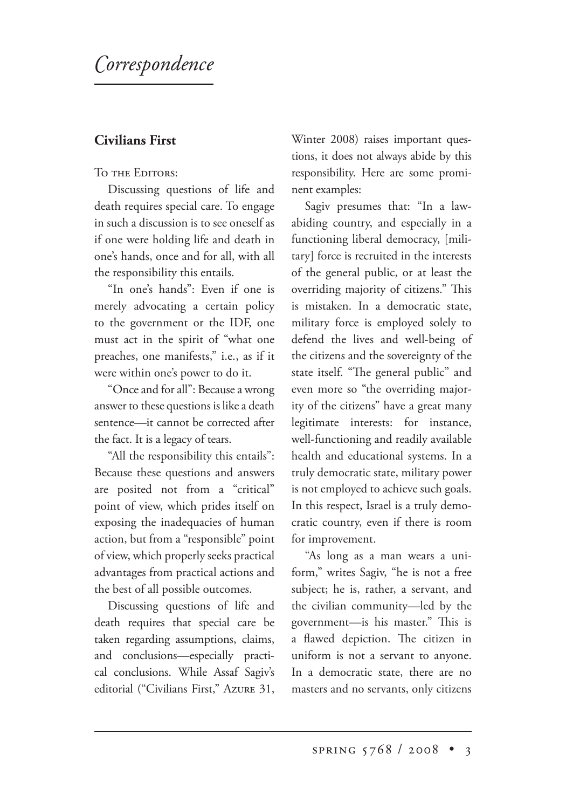# *orrespondence*

# **Civilians First**

#### TO THE EDITORS:

Discussing questions of life and death requires special care. To engage in such a discussion is to see oneself as if one were holding life and death in one's hands, once and for all, with all the responsibility this entails.

"In one's hands": Even if one is merely advocating a certain policy to the government or the IDF, one must act in the spirit of "what one preaches, one manifests," i.e., as if it were within one's power to do it.

"Once and for all": Because a wrong answer to these questions is like a death sentence—it cannot be corrected after the fact. It is a legacy of tears.

"All the responsibility this entails": Because these questions and answers are posited not from a "critical" point of view, which prides itself on exposing the inadequacies of human action, but from a "responsible" point of view, which properly seeks practical advantages from practical actions and the best of all possible outcomes.

Discussing questions of life and death requires that special care be taken regarding assumptions, claims, and conclusions—especially practical conclusions. While Assaf Sagiv's editorial ("Civilians First," Azure 31, Winter 2008) raises important questions, it does not always abide by this responsibility. Here are some prominent examples:

Sagiv presumes that: "In a lawabiding country, and especially in a functioning liberal democracy, [military] force is recruited in the interests of the general public, or at least the overriding majority of citizens." This is mistaken. In a democratic state, military force is employed solely to defend the lives and well-being of the citizens and the sovereignty of the state itself. "The general public" and even more so "the overriding majority of the citizens" have a great many legitimate interests: for instance, well-functioning and readily available health and educational systems. In a truly democratic state, military power is not employed to achieve such goals. In this respect, Israel is a truly democratic country, even if there is room for improvement.

"As long as a man wears a uniform," writes Sagiv, "he is not a free subject; he is, rather, a servant, and the civilian community—led by the government—is his master." This is a flawed depiction. The citizen in uniform is not a servant to anyone. In a democratic state, there are no masters and no servants, only citizens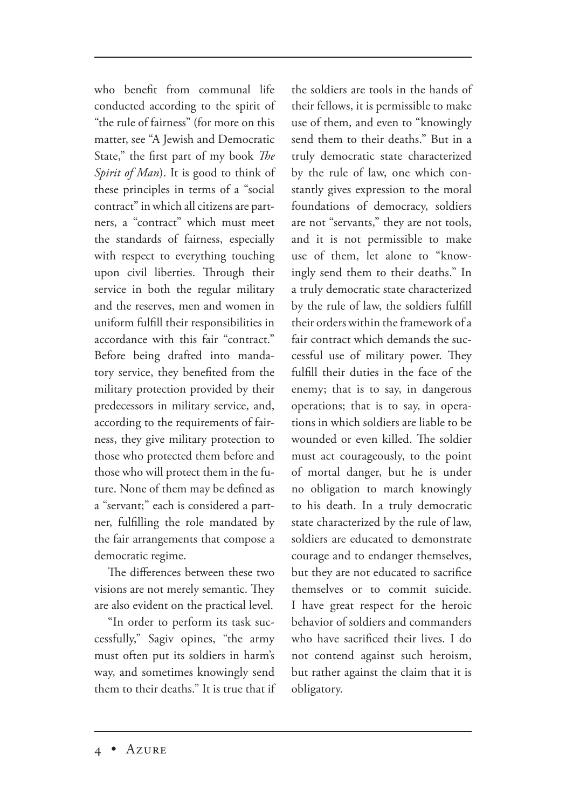who benefit from communal life conducted according to the spirit of "the rule of fairness" (for more on this matter, see "A Jewish and Democratic State," the first part of my book *The Spirit of Man*). It is good to think of these principles in terms of a "social contract" in which all citizens are partners, a "contract" which must meet the standards of fairness, especially with respect to everything touching upon civil liberties. Through their service in both the regular military and the reserves, men and women in uniform fulfill their responsibilities in accordance with this fair "contract." Before being drafted into mandatory service, they benefited from the military protection provided by their predecessors in military service, and, according to the requirements of fairness, they give military protection to those who protected them before and those who will protect them in the future. None of them may be defined as a "servant;" each is considered a partner, fulfilling the role mandated by the fair arrangements that compose a democratic regime.

The differences between these two visions are not merely semantic. They are also evident on the practical level.

"In order to perform its task successfully," Sagiv opines, "the army must often put its soldiers in harm's way, and sometimes knowingly send them to their deaths." It is true that if the soldiers are tools in the hands of their fellows, it is permissible to make use of them, and even to "knowingly send them to their deaths." But in a truly democratic state characterized by the rule of law, one which constantly gives expression to the moral foundations of democracy, soldiers are not "servants," they are not tools, and it is not permissible to make use of them, let alone to "knowingly send them to their deaths." In a truly democratic state characterized by the rule of law, the soldiers fulfill their orders within the framework of a fair contract which demands the successful use of military power. They fulfill their duties in the face of the enemy; that is to say, in dangerous operations; that is to say, in operations in which soldiers are liable to be wounded or even killed. The soldier must act courageously, to the point of mortal danger, but he is under no obligation to march knowingly to his death. In a truly democratic state characterized by the rule of law, soldiers are educated to demonstrate courage and to endanger themselves, but they are not educated to sacrifice themselves or to commit suicide. I have great respect for the heroic behavior of soldiers and commanders who have sacrificed their lives. I do not contend against such heroism, but rather against the claim that it is obligatory.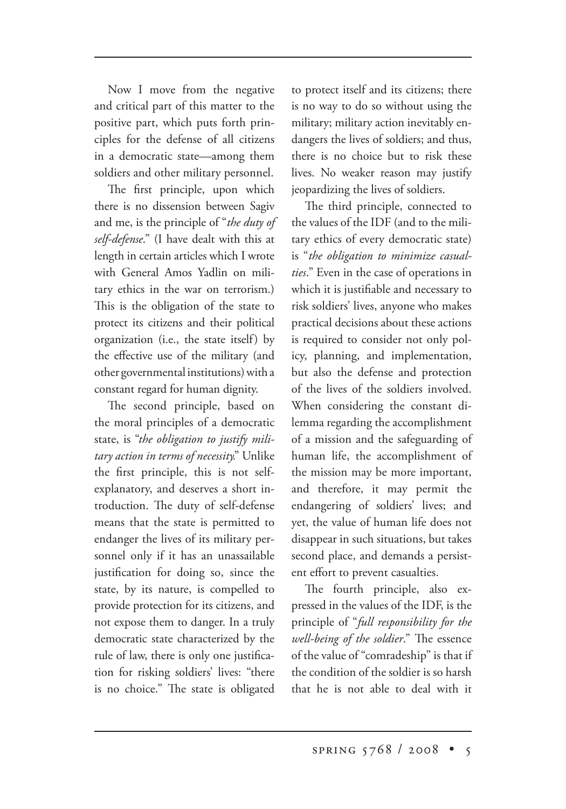Now I move from the negative and critical part of this matter to the positive part, which puts forth principles for the defense of all citizens in a democratic state—among them soldiers and other military personnel.

The first principle, upon which there is no dissension between Sagiv and me, is the principle of "*the duty of self-defense*." (I have dealt with this at length in certain articles which I wrote with General Amos Yadlin on military ethics in the war on terrorism.) This is the obligation of the state to protect its citizens and their political organization (i.e., the state itself) by the effective use of the military (and other governmental institutions) with a constant regard for human dignity.

The second principle, based on the moral principles of a democratic state, is "*the obligation to justify military action in terms of necessity.*" Unlike the first principle, this is not selfexplanatory, and deserves a short introduction. The duty of self-defense means that the state is permitted to endanger the lives of its military personnel only if it has an unassailable justification for doing so, since the state, by its nature, is compelled to provide protection for its citizens, and not expose them to danger. In a truly democratic state characterized by the rule of law, there is only one justification for risking soldiers' lives: "there is no choice." The state is obligated to protect itself and its citizens; there is no way to do so without using the military; military action inevitably endangers the lives of soldiers; and thus, there is no choice but to risk these lives. No weaker reason may justify jeopardizing the lives of soldiers.

The third principle, connected to the values of the IDF (and to the military ethics of every democratic state) is "*the obligation to minimize casualties*." Even in the case of operations in which it is justifiable and necessary to risk soldiers' lives, anyone who makes practical decisions about these actions is required to consider not only policy, planning, and implementation, but also the defense and protection of the lives of the soldiers involved. When considering the constant dilemma regarding the accomplishment of a mission and the safeguarding of human life, the accomplishment of the mission may be more important, and therefore, it may permit the endangering of soldiers' lives; and yet, the value of human life does not disappear in such situations, but takes second place, and demands a persistent effort to prevent casualties.

The fourth principle, also expressed in the values of the IDF, is the principle of "*full responsibility for the well-being of the soldier.*" The essence of the value of "comradeship" is that if the condition of the soldier is so harsh that he is not able to deal with it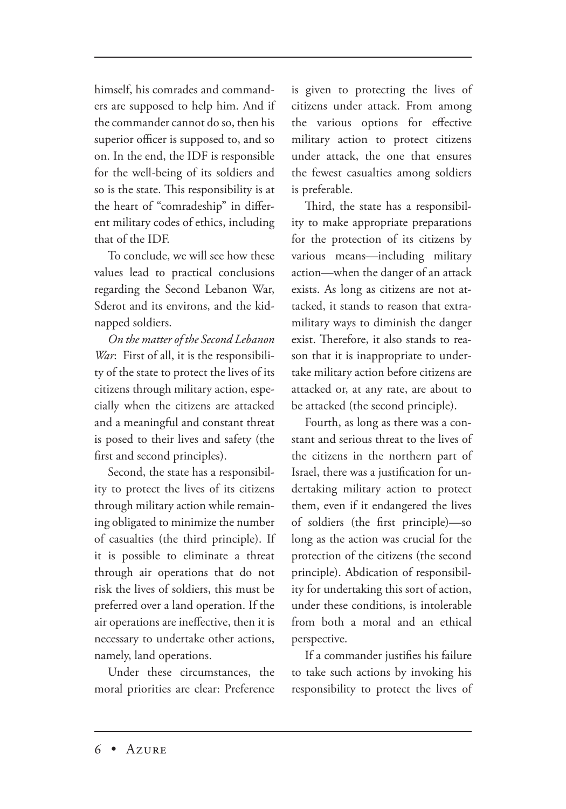himself, his comrades and commanders are supposed to help him. And if the commander cannot do so, then his superior officer is supposed to, and so on. In the end, the IDF is responsible for the well-being of its soldiers and so is the state. This responsibility is at the heart of "comradeship" in different military codes of ethics, including that of the IDF.

To conclude, we will see how these values lead to practical conclusions regarding the Second Lebanon War, Sderot and its environs, and the kidnapped soldiers.

*On the matter of the Second Lebanon War*: First of all, it is the responsibility of the state to protect the lives of its citizens through military action, especially when the citizens are attacked and a meaningful and constant threat is posed to their lives and safety (the first and second principles).

Second, the state has a responsibility to protect the lives of its citizens through military action while remaining obligated to minimize the number of casualties (the third principle). If it is possible to eliminate a threat through air operations that do not risk the lives of soldiers, this must be preferred over a land operation. If the air operations are ineffective, then it is necessary to undertake other actions, namely, land operations.

Under these circumstances, the moral priorities are clear: Preference is given to protecting the lives of citizens under attack. From among the various options for effective military action to protect citizens under attack, the one that ensures the fewest casualties among soldiers is preferable.

Third, the state has a responsibility to make appropriate preparations for the protection of its citizens by various means—including military action—when the danger of an attack exists. As long as citizens are not attacked, it stands to reason that extramilitary ways to diminish the danger exist. Therefore, it also stands to reason that it is inappropriate to undertake military action before citizens are attacked or, at any rate, are about to be attacked (the second principle).

Fourth, as long as there was a constant and serious threat to the lives of the citizens in the northern part of Israel, there was a justification for undertaking military action to protect them, even if it endangered the lives of soldiers (the first principle)—so long as the action was crucial for the protection of the citizens (the second principle). Abdication of responsibility for undertaking this sort of action, under these conditions, is intolerable from both a moral and an ethical perspective.

If a commander justifies his failure to take such actions by invoking his responsibility to protect the lives of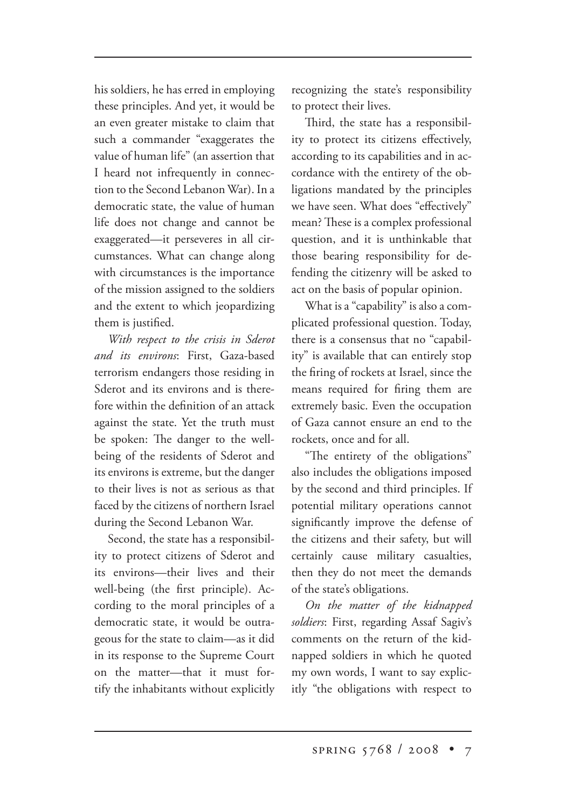his soldiers, he has erred in employing these principles. And yet, it would be an even greater mistake to claim that such a commander "exaggerates the value of human life" (an assertion that I heard not infrequently in connection to the Second Lebanon War). In a democratic state, the value of human life does not change and cannot be exaggerated—it perseveres in all circumstances. What can change along with circumstances is the importance of the mission assigned to the soldiers and the extent to which jeopardizing them is justified.

*With respect to the crisis in Sderot and its environs*: First, Gaza-based terrorism endangers those residing in Sderot and its environs and is therefore within the definition of an attack against the state. Yet the truth must be spoken: The danger to the wellbeing of the residents of Sderot and its environs is extreme, but the danger to their lives is not as serious as that faced by the citizens of northern Israel during the Second Lebanon War.

Second, the state has a responsibility to protect citizens of Sderot and its environs—their lives and their well-being (the first principle). According to the moral principles of a democratic state, it would be outrageous for the state to claim—as it did in its response to the Supreme Court on the matter—that it must fortify the inhabitants without explicitly recognizing the state's responsibility to protect their lives.

Third, the state has a responsibility to protect its citizens effectively, according to its capabilities and in accordance with the entirety of the obligations mandated by the principles we have seen. What does "effectively" mean? These is a complex professional question, and it is unthinkable that those bearing responsibility for defending the citizenry will be asked to act on the basis of popular opinion.

What is a "capability" is also a complicated professional question. Today, there is a consensus that no "capability" is available that can entirely stop the firing of rockets at Israel, since the means required for firing them are extremely basic. Even the occupation of Gaza cannot ensure an end to the rockets, once and for all.

"The entirety of the obligations" also includes the obligations imposed by the second and third principles. If potential military operations cannot significantly improve the defense of the citizens and their safety, but will certainly cause military casualties, then they do not meet the demands of the state's obligations.

*On the matter of the kidnapped soldiers*: First, regarding Assaf Sagiv's comments on the return of the kidnapped soldiers in which he quoted my own words, I want to say explicitly "the obligations with respect to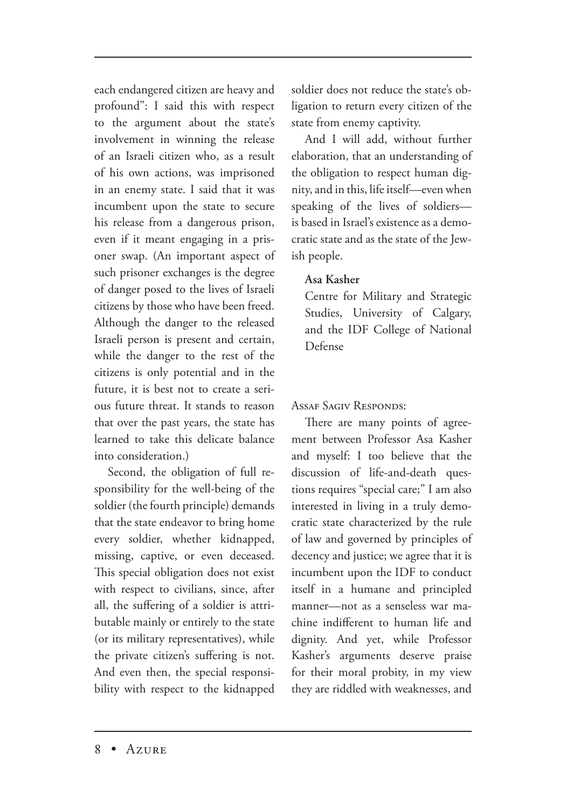each endangered citizen are heavy and profound": I said this with respect to the argument about the state's involvement in winning the release of an Israeli citizen who, as a result of his own actions, was imprisoned in an enemy state. I said that it was incumbent upon the state to secure his release from a dangerous prison, even if it meant engaging in a prisoner swap. (An important aspect of such prisoner exchanges is the degree of danger posed to the lives of Israeli citizens by those who have been freed. Although the danger to the released Israeli person is present and certain, while the danger to the rest of the citizens is only potential and in the future, it is best not to create a serious future threat. It stands to reason that over the past years, the state has learned to take this delicate balance into consideration.)

Second, the obligation of full responsibility for the well-being of the soldier (the fourth principle) demands that the state endeavor to bring home every soldier, whether kidnapped, missing, captive, or even deceased. This special obligation does not exist with respect to civilians, since, after all, the suffering of a soldier is attributable mainly or entirely to the state (or its military representatives), while the private citizen's suffering is not. And even then, the special responsibility with respect to the kidnapped soldier does not reduce the state's obligation to return every citizen of the state from enemy captivity.

And I will add, without further elaboration, that an understanding of the obligation to respect human dignity, and in this, life itself—even when speaking of the lives of soldiers is based in Israel's existence as a democratic state and as the state of the Jewish people.

## **Asa Kasher**

Centre for Military and Strategic Studies, University of Calgary, and the IDF College of National Defense

#### ASSAF SAGIV RESPONDS:

There are many points of agreement between Professor Asa Kasher and myself: I too believe that the discussion of life-and-death questions requires "special care;" I am also interested in living in a truly democratic state characterized by the rule of law and governed by principles of decency and justice; we agree that it is incumbent upon the IDF to conduct itself in a humane and principled manner—not as a senseless war machine indifferent to human life and dignity. And yet, while Professor Kasher's arguments deserve praise for their moral probity, in my view they are riddled with weaknesses, and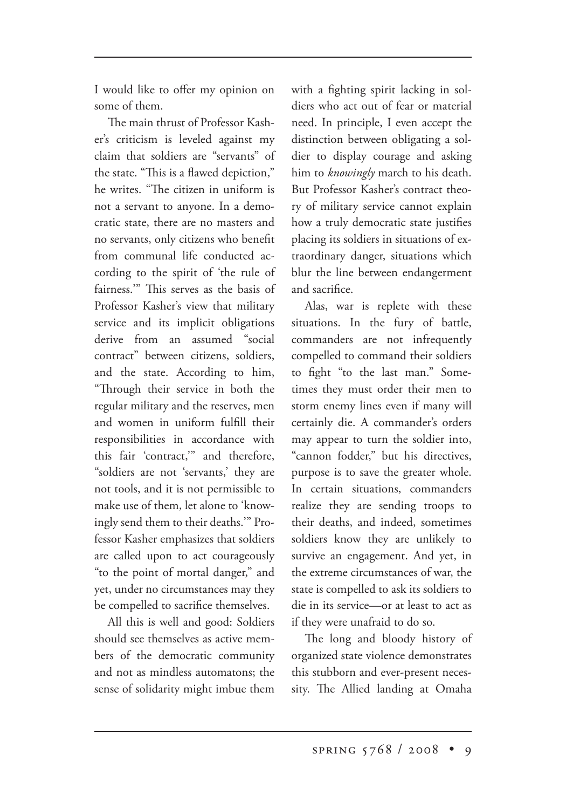I would like to offer my opinion on some of them.

The main thrust of Professor Kasher's criticism is leveled against my claim that soldiers are "servants" of the state. "This is a flawed depiction," he writes. "The citizen in uniform is not a servant to anyone. In a democratic state, there are no masters and no servants, only citizens who benefit from communal life conducted according to the spirit of 'the rule of fairness." This serves as the basis of Professor Kasher's view that military service and its implicit obligations derive from an assumed "social contract" between citizens, soldiers, and the state. According to him, "Through their service in both the regular military and the reserves, men and women in uniform fulfill their responsibilities in accordance with this fair 'contract,'" and therefore, "soldiers are not 'servants,' they are not tools, and it is not permissible to make use of them, let alone to 'knowingly send them to their deaths.'" Professor Kasher emphasizes that soldiers are called upon to act courageously "to the point of mortal danger," and yet, under no circumstances may they be compelled to sacrifice themselves.

All this is well and good: Soldiers should see themselves as active members of the democratic community and not as mindless automatons; the sense of solidarity might imbue them with a fighting spirit lacking in soldiers who act out of fear or material need. In principle, I even accept the distinction between obligating a soldier to display courage and asking him to *knowingly* march to his death. But Professor Kasher's contract theory of military service cannot explain how a truly democratic state justifies placing its soldiers in situations of extraordinary danger, situations which blur the line between endangerment and sacrifice.

Alas, war is replete with these situations. In the fury of battle, commanders are not infrequently compelled to command their soldiers to fight "to the last man." Sometimes they must order their men to storm enemy lines even if many will certainly die. A commander's orders may appear to turn the soldier into, "cannon fodder," but his directives, purpose is to save the greater whole. In certain situations, commanders realize they are sending troops to their deaths, and indeed, sometimes soldiers know they are unlikely to survive an engagement. And yet, in the extreme circumstances of war, the state is compelled to ask its soldiers to die in its service—or at least to act as if they were unafraid to do so.

The long and bloody history of organized state violence demonstrates this stubborn and ever-present necessity. The Allied landing at Omaha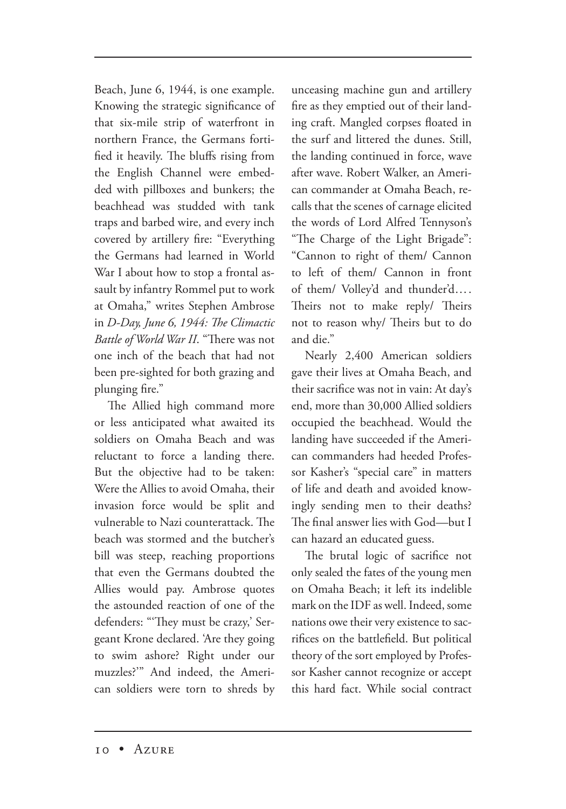Beach, June 6, 1944, is one example. Knowing the strategic significance of that six-mile strip of waterfront in northern France, the Germans fortified it heavily. The bluffs rising from the English Channel were embedded with pillboxes and bunkers; the beachhead was studded with tank traps and barbed wire, and every inch covered by artillery fire: "Everything the Germans had learned in World War I about how to stop a frontal assault by infantry Rommel put to work at Omaha," writes Stephen Ambrose in *D-Day, June 6, 1944: The Climactic Battle of World War II.* "There was not one inch of the beach that had not been pre-sighted for both grazing and plunging fire."

The Allied high command more or less anticipated what awaited its soldiers on Omaha Beach and was reluctant to force a landing there. But the objective had to be taken: Were the Allies to avoid Omaha, their invasion force would be split and vulnerable to Nazi counterattack. The beach was stormed and the butcher's bill was steep, reaching proportions that even the Germans doubted the Allies would pay. Ambrose quotes the astounded reaction of one of the defenders: "They must be crazy,' Sergeant Krone declared. 'Are they going to swim ashore? Right under our muzzles?'" And indeed, the American soldiers were torn to shreds by unceasing machine gun and artillery fire as they emptied out of their landing craft. Mangled corpses floated in the surf and littered the dunes. Still, the landing continued in force, wave after wave. Robert Walker, an American commander at Omaha Beach, recalls that the scenes of carnage elicited the words of Lord Alfred Tennyson's "The Charge of the Light Brigade": "Cannon to right of them/ Cannon to left of them/ Cannon in front of them/ Volley'd and thunder'd…. Theirs not to make reply/ Theirs not to reason why/ Theirs but to do and die."

Nearly 2,400 American soldiers gave their lives at Omaha Beach, and their sacrifice was not in vain: At day's end, more than 30,000 Allied soldiers occupied the beachhead. Would the landing have succeeded if the American commanders had heeded Professor Kasher's "special care" in matters of life and death and avoided knowingly sending men to their deaths? The final answer lies with God-but I can hazard an educated guess.

The brutal logic of sacrifice not only sealed the fates of the young men on Omaha Beach; it left its indelible mark on the IDF as well. Indeed, some nations owe their very existence to sacrifices on the battlefield. But political theory of the sort employed by Professor Kasher cannot recognize or accept this hard fact. While social contract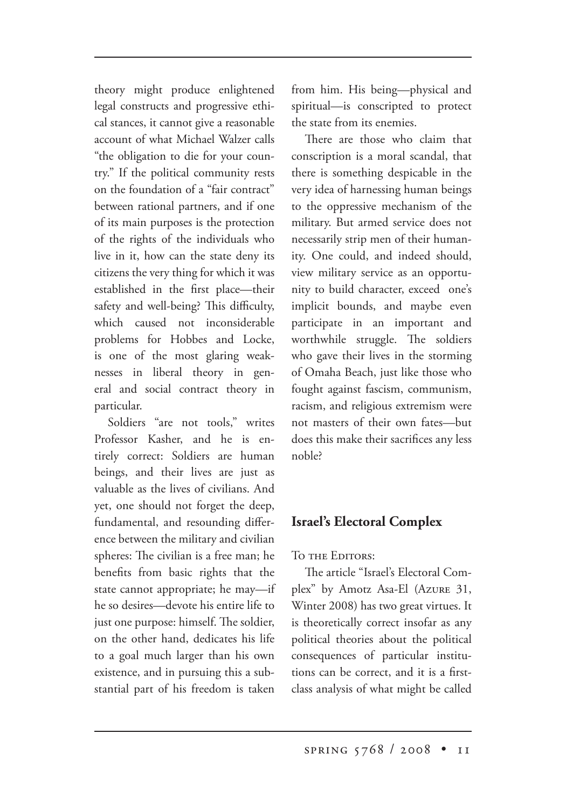theory might produce enlightened legal constructs and progressive ethical stances, it cannot give a reasonable account of what Michael Walzer calls "the obligation to die for your country." If the political community rests on the foundation of a "fair contract" between rational partners, and if one of its main purposes is the protection of the rights of the individuals who live in it, how can the state deny its citizens the very thing for which it was established in the first place—their safety and well-being? This difficulty, which caused not inconsiderable problems for Hobbes and Locke, is one of the most glaring weaknesses in liberal theory in general and social contract theory in particular.

Soldiers "are not tools," writes Professor Kasher, and he is entirely correct: Soldiers are human beings, and their lives are just as valuable as the lives of civilians. And yet, one should not forget the deep, fundamental, and resounding difference between the military and civilian spheres: The civilian is a free man; he benefits from basic rights that the state cannot appropriate; he may—if he so desires—devote his entire life to just one purpose: himself. The soldier, on the other hand, dedicates his life to a goal much larger than his own existence, and in pursuing this a substantial part of his freedom is taken

from him. His being—physical and spiritual—is conscripted to protect the state from its enemies.

There are those who claim that conscription is a moral scandal, that there is something despicable in the very idea of harnessing human beings to the oppressive mechanism of the military. But armed service does not necessarily strip men of their humanity. One could, and indeed should, view military service as an opportunity to build character, exceed one's implicit bounds, and maybe even participate in an important and worthwhile struggle. The soldiers who gave their lives in the storming of Omaha Beach, just like those who fought against fascism, communism, racism, and religious extremism were not masters of their own fates—but does this make their sacrifices any less noble?

# **Israel's Electoral Complex**

TO THE EDITORS:

The article "Israel's Electoral Complex" by Amotz Asa-El (Azure 31, Winter 2008) has two great virtues. It is theoretically correct insofar as any political theories about the political consequences of particular institutions can be correct, and it is a firstclass analysis of what might be called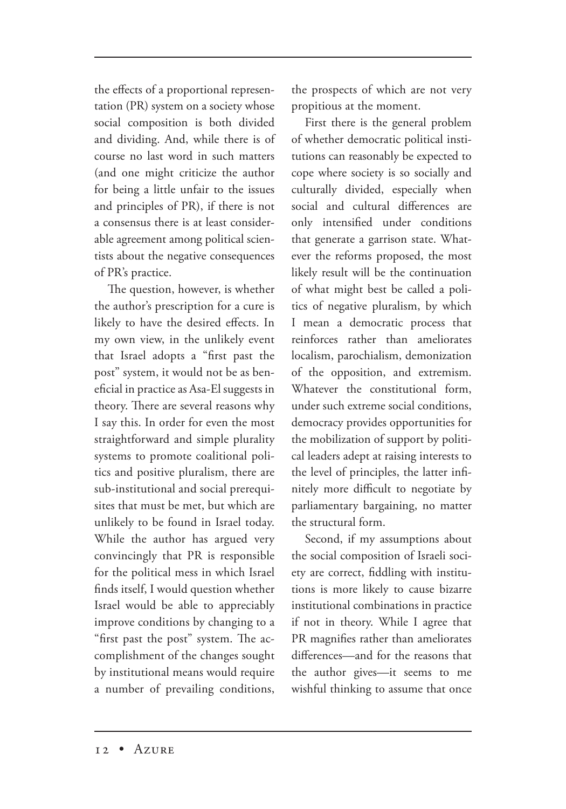the effects of a proportional representation (PR) system on a society whose social composition is both divided and dividing. And, while there is of course no last word in such matters (and one might criticize the author for being a little unfair to the issues and principles of PR), if there is not a consensus there is at least considerable agreement among political scientists about the negative consequences of PR's practice.

The question, however, is whether the author's prescription for a cure is likely to have the desired effects. In my own view, in the unlikely event that Israel adopts a "first past the post" system, it would not be as beneficial in practice as Asa-El suggests in theory. There are several reasons why I say this. In order for even the most straightforward and simple plurality systems to promote coalitional politics and positive pluralism, there are sub-institutional and social prerequisites that must be met, but which are unlikely to be found in Israel today. While the author has argued very convincingly that PR is responsible for the political mess in which Israel finds itself, I would question whether Israel would be able to appreciably improve conditions by changing to a "first past the post" system. The accomplishment of the changes sought by institutional means would require a number of prevailing conditions, the prospects of which are not very propitious at the moment.

First there is the general problem of whether democratic political institutions can reasonably be expected to cope where society is so socially and culturally divided, especially when social and cultural differences are only intensified under conditions that generate a garrison state. Whatever the reforms proposed, the most likely result will be the continuation of what might best be called a politics of negative pluralism, by which I mean a democratic process that reinforces rather than ameliorates localism, parochialism, demonization of the opposition, and extremism. Whatever the constitutional form, under such extreme social conditions, democracy provides opportunities for the mobilization of support by political leaders adept at raising interests to the level of principles, the latter infinitely more difficult to negotiate by parliamentary bargaining, no matter the structural form.

Second, if my assumptions about the social composition of Israeli society are correct, fiddling with institutions is more likely to cause bizarre institutional combinations in practice if not in theory. While I agree that PR magnifies rather than ameliorates differences—and for the reasons that the author gives—it seems to me wishful thinking to assume that once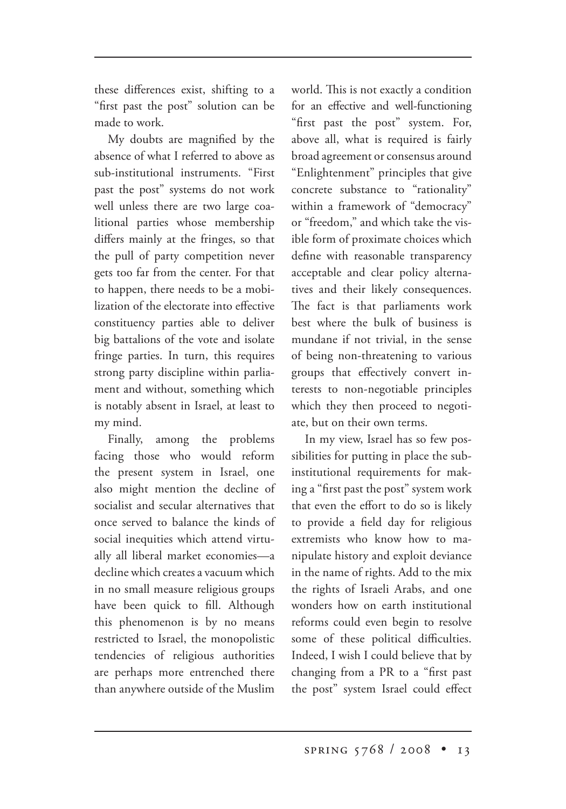these differences exist, shifting to a "first past the post" solution can be made to work.

My doubts are magnified by the absence of what I referred to above as sub-institutional instruments. "First past the post" systems do not work well unless there are two large coalitional parties whose membership differs mainly at the fringes, so that the pull of party competition never gets too far from the center. For that to happen, there needs to be a mobilization of the electorate into effective constituency parties able to deliver big battalions of the vote and isolate fringe parties. In turn, this requires strong party discipline within parliament and without, something which is notably absent in Israel, at least to my mind.

Finally, among the problems facing those who would reform the present system in Israel, one also might mention the decline of socialist and secular alternatives that once served to balance the kinds of social inequities which attend virtually all liberal market economies—a decline which creates a vacuum which in no small measure religious groups have been quick to fill. Although this phenomenon is by no means restricted to Israel, the monopolistic tendencies of religious authorities are perhaps more entrenched there than anywhere outside of the Muslim

world. This is not exactly a condition for an effective and well-functioning "first past the post" system. For, above all, what is required is fairly broad agreement or consensus around "Enlightenment" principles that give concrete substance to "rationality" within a framework of "democracy" or "freedom," and which take the visible form of proximate choices which define with reasonable transparency acceptable and clear policy alternatives and their likely consequences. The fact is that parliaments work best where the bulk of business is mundane if not trivial, in the sense of being non-threatening to various groups that effectively convert interests to non-negotiable principles which they then proceed to negotiate, but on their own terms.

In my view, Israel has so few possibilities for putting in place the subinstitutional requirements for making a "first past the post" system work that even the effort to do so is likely to provide a field day for religious extremists who know how to manipulate history and exploit deviance in the name of rights. Add to the mix the rights of Israeli Arabs, and one wonders how on earth institutional reforms could even begin to resolve some of these political difficulties. Indeed, I wish I could believe that by changing from a PR to a "first past the post" system Israel could effect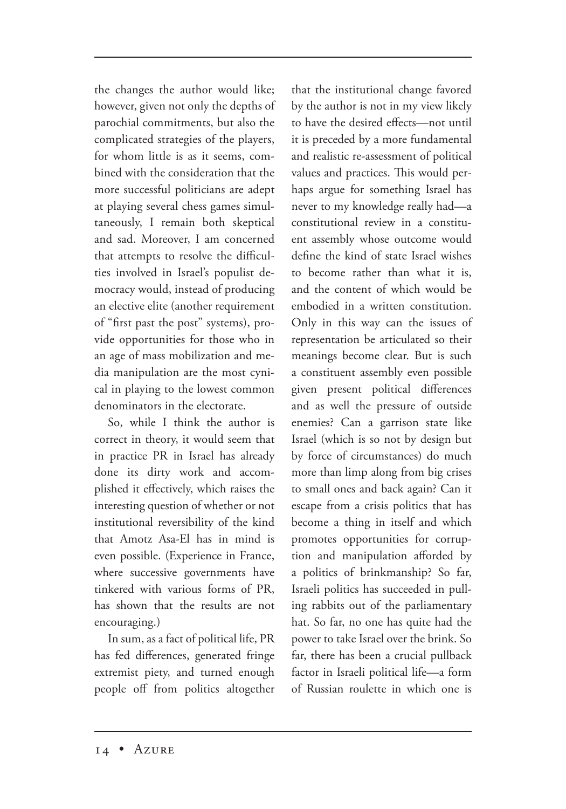the changes the author would like; however, given not only the depths of parochial commitments, but also the complicated strategies of the players, for whom little is as it seems, combined with the consideration that the more successful politicians are adept at playing several chess games simultaneously, I remain both skeptical and sad. Moreover, I am concerned that attempts to resolve the difficulties involved in Israel's populist democracy would, instead of producing an elective elite (another requirement of "first past the post" systems), provide opportunities for those who in an age of mass mobilization and media manipulation are the most cynical in playing to the lowest common denominators in the electorate.

So, while I think the author is correct in theory, it would seem that in practice PR in Israel has already done its dirty work and accomplished it effectively, which raises the interesting question of whether or not institutional reversibility of the kind that Amotz Asa-El has in mind is even possible. (Experience in France, where successive governments have tinkered with various forms of PR, has shown that the results are not encouraging.)

In sum, as a fact of political life, PR has fed differences, generated fringe extremist piety, and turned enough people off from politics altogether that the institutional change favored by the author is not in my view likely to have the desired effects—not until it is preceded by a more fundamental and realistic re-assessment of political values and practices. This would perhaps argue for something Israel has never to my knowledge really had—a constitutional review in a constituent assembly whose outcome would define the kind of state Israel wishes to become rather than what it is, and the content of which would be embodied in a written constitution. Only in this way can the issues of representation be articulated so their meanings become clear. But is such a constituent assembly even possible given present political differences and as well the pressure of outside enemies? Can a garrison state like Israel (which is so not by design but by force of circumstances) do much more than limp along from big crises to small ones and back again? Can it escape from a crisis politics that has become a thing in itself and which promotes opportunities for corruption and manipulation afforded by a politics of brinkmanship? So far, Israeli politics has succeeded in pulling rabbits out of the parliamentary hat. So far, no one has quite had the power to take Israel over the brink. So far, there has been a crucial pullback factor in Israeli political life—a form of Russian roulette in which one is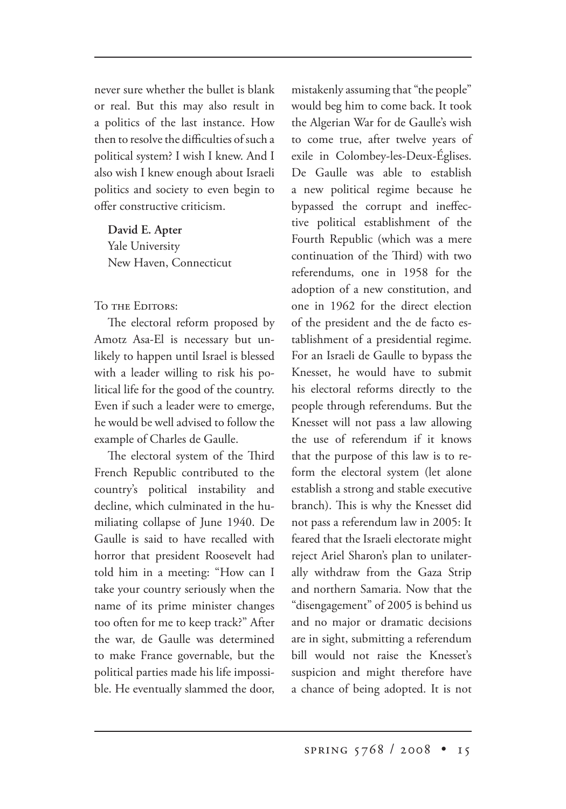never sure whether the bullet is blank or real. But this may also result in a politics of the last instance. How then to resolve the difficulties of such a political system? I wish I knew. And I also wish I knew enough about Israeli politics and society to even begin to offer constructive criticism.

**David E. Apter** Yale University New Haven, Connecticut

TO THE EDITORS:

The electoral reform proposed by Amotz Asa-El is necessary but unlikely to happen until Israel is blessed with a leader willing to risk his political life for the good of the country. Even if such a leader were to emerge, he would be well advised to follow the example of Charles de Gaulle.

The electoral system of the Third French Republic contributed to the country's political instability and decline, which culminated in the humiliating collapse of June 1940. De Gaulle is said to have recalled with horror that president Roosevelt had told him in a meeting: "How can I take your country seriously when the name of its prime minister changes too often for me to keep track?" After the war, de Gaulle was determined to make France governable, but the political parties made his life impossible. He eventually slammed the door, mistakenly assuming that "the people" would beg him to come back. It took the Algerian War for de Gaulle's wish to come true, after twelve years of exile in Colombey-les-Deux-Églises. De Gaulle was able to establish a new political regime because he bypassed the corrupt and ineffective political establishment of the Fourth Republic (which was a mere continuation of the Third) with two referendums, one in 1958 for the adoption of a new constitution, and one in 1962 for the direct election of the president and the de facto establishment of a presidential regime. For an Israeli de Gaulle to bypass the Knesset, he would have to submit his electoral reforms directly to the people through referendums. But the Knesset will not pass a law allowing the use of referendum if it knows that the purpose of this law is to reform the electoral system (let alone establish a strong and stable executive branch). This is why the Knesset did not pass a referendum law in 2005: It feared that the Israeli electorate might reject Ariel Sharon's plan to unilaterally withdraw from the Gaza Strip and northern Samaria. Now that the "disengagement" of 2005 is behind us and no major or dramatic decisions are in sight, submitting a referendum bill would not raise the Knesset's suspicion and might therefore have a chance of being adopted. It is not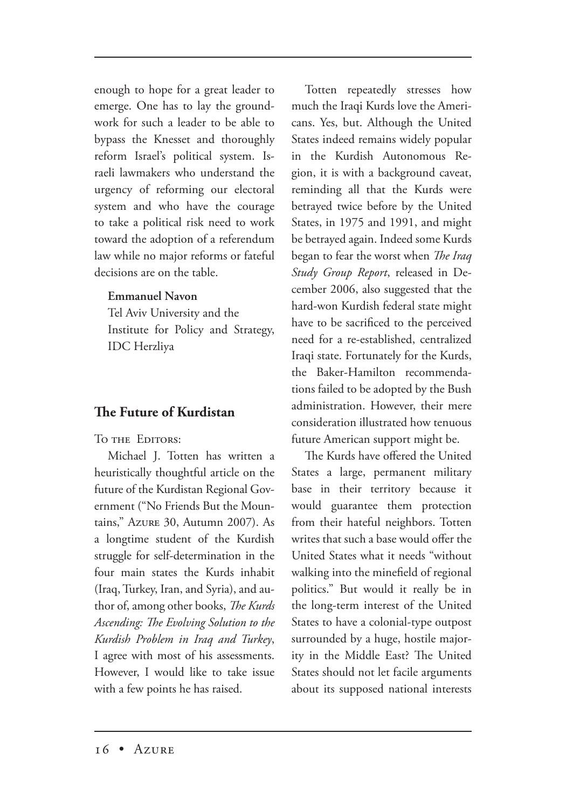enough to hope for a great leader to emerge. One has to lay the groundwork for such a leader to be able to bypass the Knesset and thoroughly reform Israel's political system. Israeli lawmakers who understand the urgency of reforming our electoral system and who have the courage to take a political risk need to work toward the adoption of a referendum law while no major reforms or fateful decisions are on the table.

## **Emmanuel Navon**

Tel Aviv University and the Institute for Policy and Strategy, IDC Herzliya

# **e Future of Kurdistan**

TO THE EDITORS:

Michael J. Totten has written a heuristically thoughtful article on the future of the Kurdistan Regional Government ("No Friends But the Mountains," Azure 30, Autumn 2007). As a longtime student of the Kurdish struggle for self-determination in the four main states the Kurds inhabit (Iraq, Turkey, Iran, and Syria), and author of, among other books, *The Kurds* Ascending: The Evolving Solution to the *Kurdish Problem in Iraq and Turkey*, I agree with most of his assessments. However, I would like to take issue with a few points he has raised.

Totten repeatedly stresses how much the Iraqi Kurds love the Americans. Yes, but. Although the United States indeed remains widely popular in the Kurdish Autonomous Region, it is with a background caveat, reminding all that the Kurds were betrayed twice before by the United States, in 1975 and 1991, and might be betrayed again. Indeed some Kurds began to fear the worst when *The Iraq Study Group Report*, released in December 2006, also suggested that the hard-won Kurdish federal state might have to be sacrificed to the perceived need for a re-established, centralized Iraqi state. Fortunately for the Kurds, the Baker-Hamilton recommendations failed to be adopted by the Bush administration. However, their mere consideration illustrated how tenuous future American support might be.

The Kurds have offered the United States a large, permanent military base in their territory because it would guarantee them protection from their hateful neighbors. Totten writes that such a base would offer the United States what it needs "without walking into the minefield of regional politics." But would it really be in the long-term interest of the United States to have a colonial-type outpost surrounded by a huge, hostile majority in the Middle East? The United States should not let facile arguments about its supposed national interests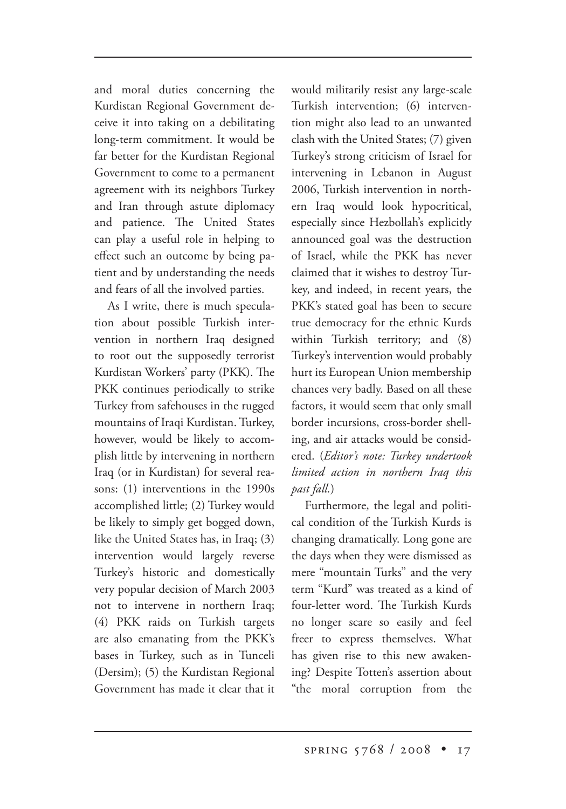and moral duties concerning the Kurdistan Regional Government deceive it into taking on a debilitating long-term commitment. It would be far better for the Kurdistan Regional Government to come to a permanent agreement with its neighbors Turkey and Iran through astute diplomacy and patience. The United States can play a useful role in helping to effect such an outcome by being patient and by understanding the needs and fears of all the involved parties.

As I write, there is much speculation about possible Turkish intervention in northern Iraq designed to root out the supposedly terrorist Kurdistan Workers' party (PKK). The PKK continues periodically to strike Turkey from safehouses in the rugged mountains of Iraqi Kurdistan. Turkey, however, would be likely to accomplish little by intervening in northern Iraq (or in Kurdistan) for several reasons: (1) interventions in the 1990s accomplished little; (2) Turkey would be likely to simply get bogged down, like the United States has, in Iraq; (3) intervention would largely reverse Turkey's historic and domestically very popular decision of March 2003 not to intervene in northern Iraq; (4) PKK raids on Turkish targets are also emanating from the PKK's bases in Turkey, such as in Tunceli (Dersim); (5) the Kurdistan Regional Government has made it clear that it would militarily resist any large-scale Turkish intervention; (6) intervention might also lead to an unwanted clash with the United States; (7) given Turkey's strong criticism of Israel for intervening in Lebanon in August 2006, Turkish intervention in northern Iraq would look hypocritical, especially since Hezbollah's explicitly announced goal was the destruction of Israel, while the PKK has never claimed that it wishes to destroy Turkey, and indeed, in recent years, the PKK's stated goal has been to secure true democracy for the ethnic Kurds within Turkish territory; and (8) Turkey's intervention would probably hurt its European Union membership chances very badly. Based on all these factors, it would seem that only small border incursions, cross-border shelling, and air attacks would be considered. (*Editor's note: Turkey undertook limited action in northern Iraq this past fall.*)

Furthermore, the legal and political condition of the Turkish Kurds is changing dramatically. Long gone are the days when they were dismissed as mere "mountain Turks" and the very term "Kurd" was treated as a kind of four-letter word. The Turkish Kurds no longer scare so easily and feel freer to express themselves. What has given rise to this new awakening? Despite Totten's assertion about "the moral corruption from the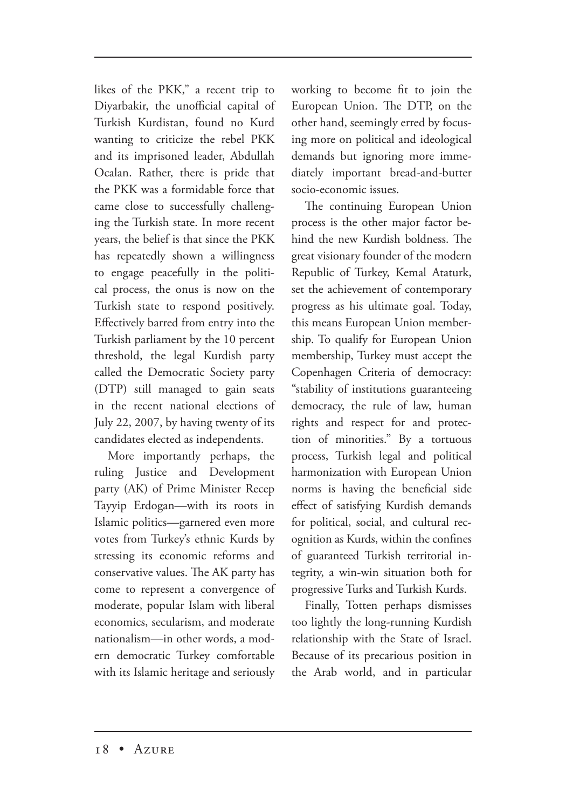likes of the PKK," a recent trip to Diyarbakir, the unofficial capital of Turkish Kurdistan, found no Kurd wanting to criticize the rebel PKK and its imprisoned leader, Abdullah Ocalan. Rather, there is pride that the PKK was a formidable force that came close to successfully challenging the Turkish state. In more recent years, the belief is that since the PKK has repeatedly shown a willingness to engage peacefully in the political process, the onus is now on the Turkish state to respond positively. Effectively barred from entry into the Turkish parliament by the 10 percent threshold, the legal Kurdish party called the Democratic Society party (DTP) still managed to gain seats in the recent national elections of July 22, 2007, by having twenty of its candidates elected as independents.

More importantly perhaps, the ruling Justice and Development party (AK) of Prime Minister Recep Tayyip Erdogan—with its roots in Islamic politics—garnered even more votes from Turkey's ethnic Kurds by stressing its economic reforms and conservative values. The AK party has come to represent a convergence of moderate, popular Islam with liberal economics, secularism, and moderate nationalism—in other words, a modern democratic Turkey comfortable with its Islamic heritage and seriously

working to become fit to join the European Union. The DTP, on the other hand, seemingly erred by focusing more on political and ideological demands but ignoring more immediately important bread-and-butter socio-economic issues.

The continuing European Union process is the other major factor behind the new Kurdish boldness. The great visionary founder of the modern Republic of Turkey, Kemal Ataturk, set the achievement of contemporary progress as his ultimate goal. Today, this means European Union membership. To qualify for European Union membership, Turkey must accept the Copenhagen Criteria of democracy: "stability of institutions guaranteeing democracy, the rule of law, human rights and respect for and protection of minorities." By a tortuous process, Turkish legal and political harmonization with European Union norms is having the beneficial side effect of satisfying Kurdish demands for political, social, and cultural recognition as Kurds, within the confines of guaranteed Turkish territorial integrity, a win-win situation both for progressive Turks and Turkish Kurds.

Finally, Totten perhaps dismisses too lightly the long-running Kurdish relationship with the State of Israel. Because of its precarious position in the Arab world, and in particular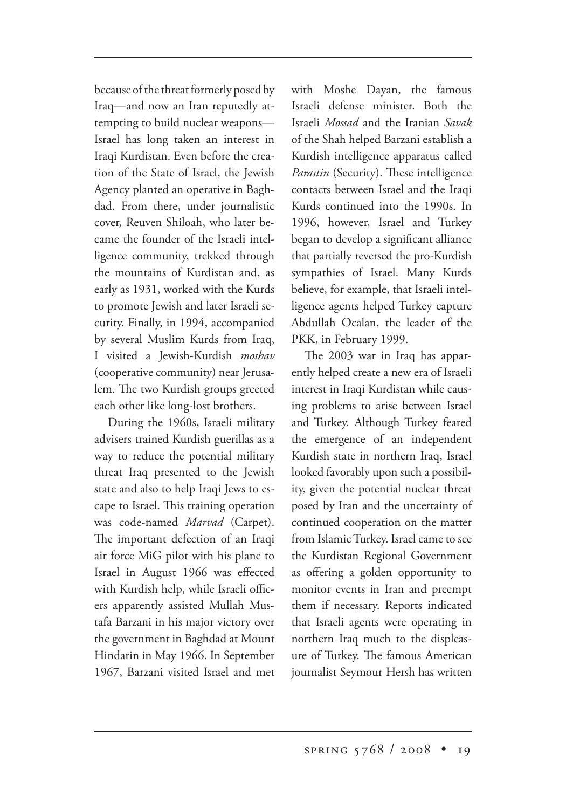because of the threat formerly posed by Iraq—and now an Iran reputedly attempting to build nuclear weapons— Israel has long taken an interest in Iraqi Kurdistan. Even before the creation of the State of Israel, the Jewish Agency planted an operative in Baghdad. From there, under journalistic cover, Reuven Shiloah, who later became the founder of the Israeli intelligence community, trekked through the mountains of Kurdistan and, as early as 1931, worked with the Kurds to promote Jewish and later Israeli security. Finally, in 1994, accompanied by several Muslim Kurds from Iraq, I visited a Jewish-Kurdish *moshav* (cooperative community) near Jerusalem. The two Kurdish groups greeted each other like long-lost brothers.

During the 1960s, Israeli military advisers trained Kurdish guerillas as a way to reduce the potential military threat Iraq presented to the Jewish state and also to help Iraqi Jews to escape to Israel. This training operation was code-named *Marvad* (Carpet). The important defection of an Iraqi air force MiG pilot with his plane to Israel in August 1966 was effected with Kurdish help, while Israeli officers apparently assisted Mullah Mustafa Barzani in his major victory over the government in Baghdad at Mount Hindarin in May 1966. In September 1967, Barzani visited Israel and met with Moshe Dayan, the famous Israeli defense minister. Both the Israeli *Mossad* and the Iranian *Savak*  of the Shah helped Barzani establish a Kurdish intelligence apparatus called *Parastin* (Security). These intelligence contacts between Israel and the Iraqi Kurds continued into the 1990s. In 1996, however, Israel and Turkey began to develop a significant alliance that partially reversed the pro-Kurdish sympathies of Israel. Many Kurds believe, for example, that Israeli intelligence agents helped Turkey capture Abdullah Ocalan, the leader of the PKK, in February 1999.

The 2003 war in Iraq has apparently helped create a new era of Israeli interest in Iraqi Kurdistan while causing problems to arise between Israel and Turkey. Although Turkey feared the emergence of an independent Kurdish state in northern Iraq, Israel looked favorably upon such a possibility, given the potential nuclear threat posed by Iran and the uncertainty of continued cooperation on the matter from Islamic Turkey. Israel came to see the Kurdistan Regional Government as offering a golden opportunity to monitor events in Iran and preempt them if necessary. Reports indicated that Israeli agents were operating in northern Iraq much to the displeasure of Turkey. The famous American journalist Seymour Hersh has written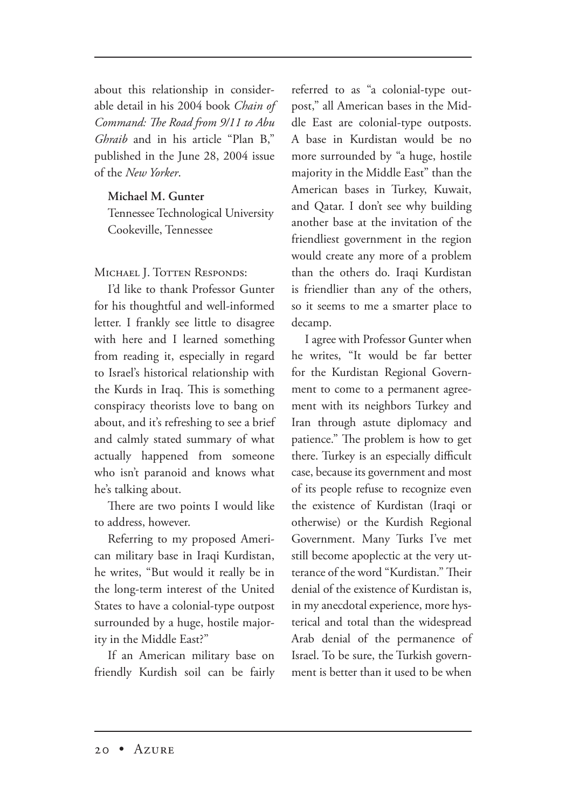about this relationship in considerable detail in his 2004 book *Chain of Command: The Road from 9/11 to Abu Ghraib* and in his article "Plan B," published in the June 28, 2004 issue of the *New Yorker*.

#### **Michael M. Gunter**

Tennessee Technological University Cookeville, Tennessee

MICHAEL I. TOTTEN RESPONDS:

I'd like to thank Professor Gunter for his thoughtful and well-informed letter. I frankly see little to disagree with here and I learned something from reading it, especially in regard to Israel's historical relationship with the Kurds in Iraq. This is something conspiracy theorists love to bang on about, and it's refreshing to see a brief and calmly stated summary of what actually happened from someone who isn't paranoid and knows what he's talking about.

There are two points I would like to address, however.

Referring to my proposed American military base in Iraqi Kurdistan, he writes, "But would it really be in the long-term interest of the United States to have a colonial-type outpost surrounded by a huge, hostile majority in the Middle East?"

If an American military base on friendly Kurdish soil can be fairly referred to as "a colonial-type outpost," all American bases in the Middle East are colonial-type outposts. A base in Kurdistan would be no more surrounded by "a huge, hostile majority in the Middle East" than the American bases in Turkey, Kuwait, and Qatar. I don't see why building another base at the invitation of the friendliest government in the region would create any more of a problem than the others do. Iraqi Kurdistan is friendlier than any of the others, so it seems to me a smarter place to decamp.

I agree with Professor Gunter when he writes, "It would be far better for the Kurdistan Regional Government to come to a permanent agreement with its neighbors Turkey and Iran through astute diplomacy and patience." The problem is how to get there. Turkey is an especially difficult case, because its government and most of its people refuse to recognize even the existence of Kurdistan (Iraqi or otherwise) or the Kurdish Regional Government. Many Turks I've met still become apoplectic at the very utterance of the word "Kurdistan." Their denial of the existence of Kurdistan is, in my anecdotal experience, more hysterical and total than the widespread Arab denial of the permanence of Israel. To be sure, the Turkish government is better than it used to be when